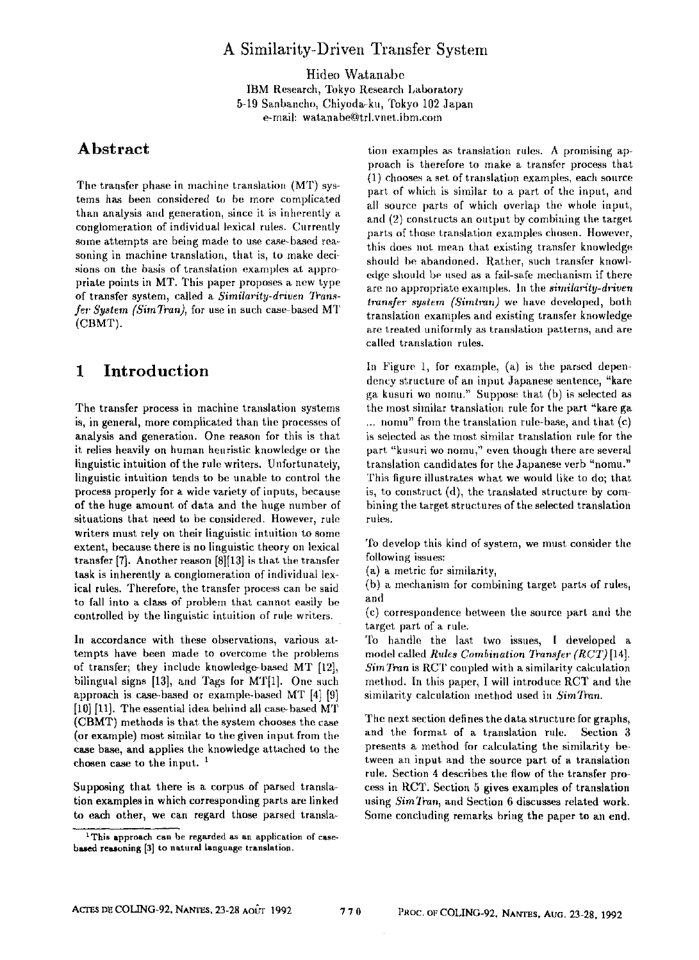## A Similarity-Driven Transfer System

Hideo Watanabe IBM Research, Tokyo Research Laboratory 5-19 Sanbancho, Chiyoda-ku, Tokyo 102 Japan e-mail: watanabe@trl.vnet.ibm.com

## **Abstract**

The transfer phase in machine translation (MT) systems has been considered to be more complicated than analysis and generation, since it is inherently a conglomeration of individual lexical rules. Currently some attempts are being made to use case-based reasoning in machine translation, that is, to make decisions on the basis of translation examples at appropriate points in MT. This paper proposes a new type of transfer system, called a *Similarity-driven Trans*fer System (SimTran), for use in such case-based MT (CBMT).

## **1 Introduction**

The transfer process in machine translation systems is, in general, more complicated than the processes of analysis and generation. One reason for this is that it relies heavily on human heuristic knowledge or the linguistic intuition of the rule writers. Unfortunately, linguistic intuition tends to be unable to control the process properly for a wide variety of inputs, because of the huge amount of data and the huge number of situations that need to be considered. However, rule writers must rely on their linguistic intuition to some extent, because there is no linguistic theory on lexical transfer  $[7]$ . Another reason  $[8][13]$  is that the transfer task is inherently a conglomeration of individual lexical rules. Therefore, the transfer process can be said to fall into a class of problem that cannot easily be controlled by the linguistic intuition of rule writers.

In accordance with these observations, various attempts have been made to overcome the problems of transfer; they include knowledge-based MT [12], bilingual signs [13], and Tags for MT[1]. One such approach is case-based or example-based MT [4] [9] [10] [11]. The essential idea behind all case-based MT (CBMT) methods is that the system chooses the case (or example) most similar to the given input from the case base, and applies the knowledge attached to the chosen case to the input.<sup>1</sup>

Supposing that there is a corpus of parsed translation examples in which corresponding parts are linked to each other, we can regard those parsed transla-

tion examples as translation rules. A promising approach is therefore to make a transfer process that (1) chooses a set of translation examples, each source part of which is similar to a part of the input, and all source parts of which overlap the whole input. and (2) constructs an output by combining the target parts of those translation examples chosen. However, this does not mean that existing transfer knowledge should be abandoned. Rather, such transfer knowledge should be used as a fail-safe mechanism if there are no appropriate examples. In the *similarity-driven transfer system (Simtran)* we have developed, both translation examples and existing transfer knowledge are treated uniformly as translation patterns, and are called translation rules.

In Figure 1, for example,  $(a)$  is the parsed dependency structure of an inpnt Japanese sentence, "kare ga kusuri wo nomu." Suppose that (b) is selected as the most similar translation rule for the part "kare ga ... nomu" from the translation rule-base, and that  $(c)$ is selected as the most similar translation rule for the part "kusuri wo nomu," even though there are several translation candidates for the Japanese verb "nomu." This figure illustrates what we would like to do; that is, to construct (d), the translated structure by combining the target structures of the selected translation rules.

To develop this kind of system, we must consider the following issues:

(a) a metric for similarity,

(b) a mecbanism for combining target parts of rules, and

(c) correspondence between the source part anti the target part of a rule.

To handle the last two issues, I developed a model called *Rules Combination Transfer (RCT)* [14]. *SimTran* is RCT coupled with a similarity calculation method. In tbis paper, I will introduce RCT and the similarity calculation method used in *SimTran.* 

The next section defines the data structure for graphs, and the format of a translation rule. Section 3 presents a method for calculating the similarity between an input and the source part of a translation rule. Section 4 describes the flow of the transfer process in RCT. Section 5 gives examples of translation using *SimTran,* and Section 6 discusses related work. Some concluding remarks bring the paper to an end.

<sup>1</sup> This approach can be regarded as an application of **case**based reasoning [3] to natural language translation.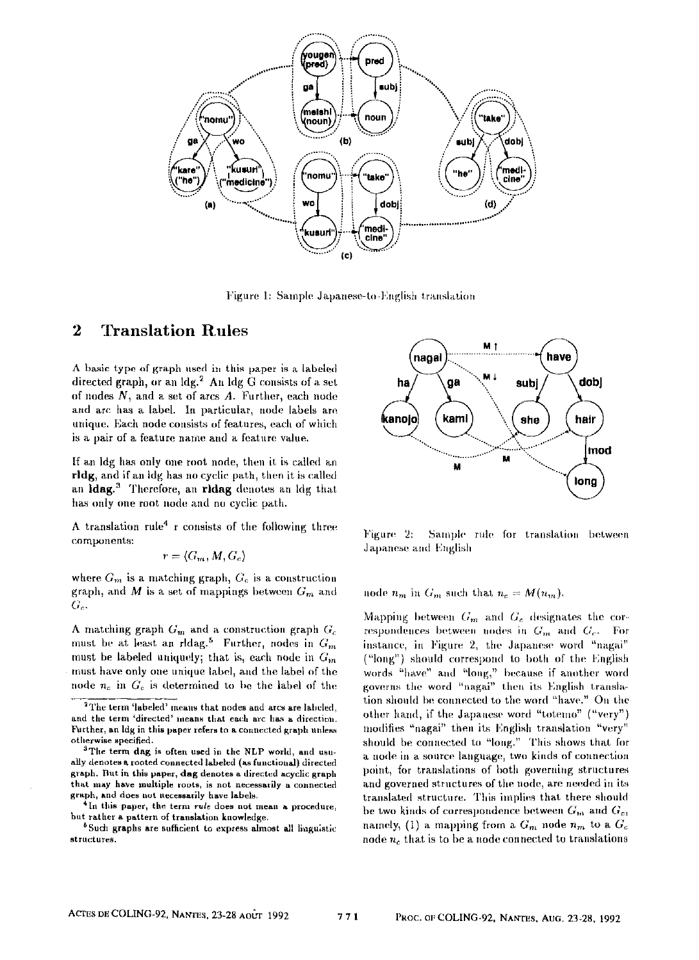

Figure 1: Sample Japanese-to-English translation

## **2 Translation Rules**

A basic type of graph used in this paper is a labeled directed graph, or an  $\mathrm{Idg.}^2$  An  $\mathrm{Idg}$  G consists of a set of nodes  $N$ , and a set of arcs  $A$ . Further, each node and arc has a label. In particular, node labels are unique. Each node consists of features, each of which is a pair of a feature name and a feature value.

If an ldg has only one root node, then it is called an rldg, and if an Idg has no cyclic path, then it is called an Idag.<sup>3</sup> Therefore, an ridag denotes an Idg that has only one root node and no cyclic path.

A translation rule<sup>4</sup> r consists of the following three components:

$$
r = \langle G_m, M, G_c \rangle
$$

where  $G_m$  is a matching graph,  $G_c$  is a construction graph, and M is a set of mappings between  $G_m$  and  $G_{\alpha}$ 

A matching graph  $G<sub>m</sub>$  and a construction graph  $G<sub>c</sub>$ must be at least an ridag.<sup>5</sup> Further, nodes in  $G_m$ must be labeled uniquely; that is, each node in  $G_m$ must have only one unique label, and the label of the node  $n_c$  in  $G_c$  is determined to be the label of the



Figure 2: Sample rule for translation between Japanese and English

node  $n_m$  in  $G_m$  such that  $n_c = M(n_m)$ .

Mapping between  $G_m$  and  $G_c$  designates the correspondences between nodes in  $G_m$  and  $G_c$ . For instance, in Figure 2, the Japanese word "nagai" ("long") should correspond to both of the English words "have" and "long," because if another word governs the word "nagai" then its English translation should be connected to the word "have." On the other hand, if the Japanese word "totemo" ("very") modifies "nagai" then its English translation "very" should be connected to "long." This shows that for a node in a source language, two kinds of connection point, for translations of both governing structures and governed structures of the node, are needed in its translated structure. This implies that there shouht be two kinds of correspondence between  $G_m$  and  $G_c$ , namely, (1) a mapping from a  $G_m$  node  $n_m$  to a  $G_c$ node  $n_c$  that is to be a node connected to translations

<sup>&</sup>lt;sup>2</sup>The term 'labeled' means that nodes and arcs are labeled, and the term 'directed' means that each arc has a direction. Further, an Ida **in this paper refers to a connected graph** unless **otherwise specified.** 

<sup>&</sup>lt;sup>3</sup>The term dag is often used in the NLP world, and usu**ally denotes a rooted connected labeled (as functional) directed**  graph. But in this paper, dag denotes a directed acyclic graph **that may have multiple toots, is not necessarily a connected graph, and does not necessarily itave labels.** 

**<sup>4</sup>In this paper, the term rule does not mean a procedure, but rather a pattern of translation knowledge.** 

<sup>&</sup>lt;sup>8</sup> Such graphs are sufficient to express almost all linguistic **strsct ures.**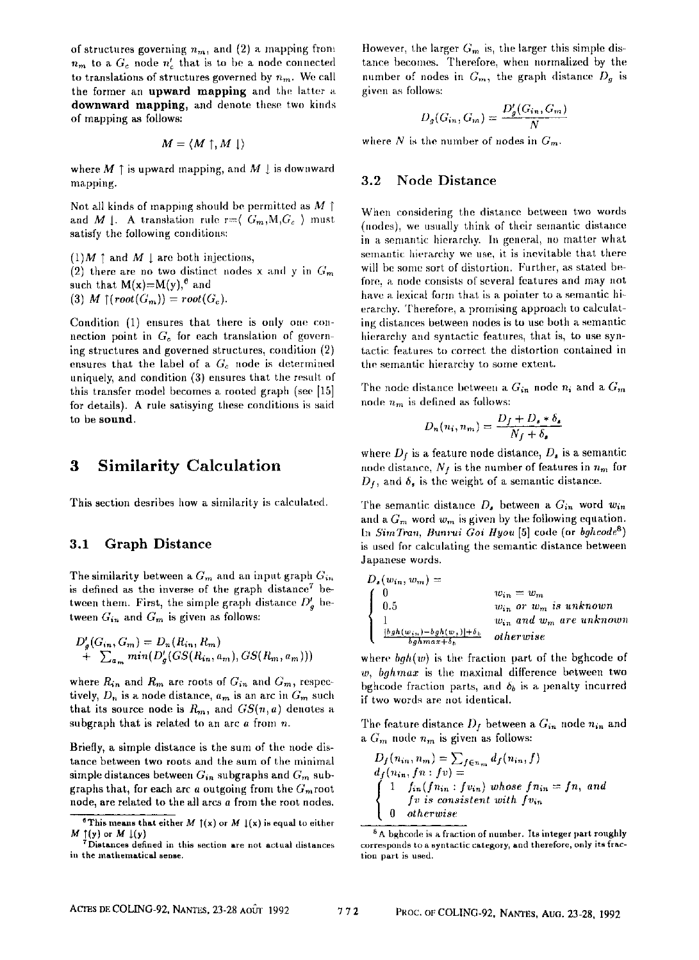of structures governing  $n_m$ , and (2) a mapping from  $n_m$  to a  $G_c$  node  $n'_c$  that is to be a node connected to translations of structures governed by  $n_m$ . We call the former an upward mapping and the latter a downward mapping, and denote these two kinds of mapping as follows:

$$
M = \langle M \uparrow, M \downarrow \rangle
$$

where  $M \uparrow$  is upward mapping, and  $M \downarrow$  is downward mapping.

Not all kinds of mapping should be permitted as  $M \upharpoonright$ and M 1. A translation rule  $r = \langle G_m, M, G_c \rangle$  must satisfy the following conditions:

 $(1)$ *M*  $\uparrow$  and *M*  $\downarrow$  are both injections, (2) there are no two distinct nodes x and y in  $G<sub>m</sub>$ such that  $M(x)=M(y)$ ,  $^6$  and (3) *M*  $\uparrow$  (*root*( $G_m$ )) = *root*( $G_c$ ).

Condition  $(1)$  ensures that there is only one connection point in  $G_c$  for each translation of governing structures and governed structures, coudition (2) ensures that the label of a  $G_c$  node is determined uniquely, and condition (3) ensures that the result of this transfer model becomes a rooted graph (see [15] for details). A rule satisying these conditions is said to be sound.

# **3 Similarity Calculation**

This section desribes how a similarity is calculated.

#### **3.1 Graph Distance**

The similarity between a  $G_m$  and an input graph  $G_{in}$ is defined as the inverse of the graph distance<sup>7</sup> between them. First, the simple graph distance  $D'_a$  between  $G_{in}$  and  $G_m$  is given as follows:

$$
D'_{g}(G_{in}, G_{m}) = D_{n}(R_{in}, R_{m}) + \sum_{a_{m}} min(D'_{g}(GS(R_{in}, a_{m}), GS(R_{m}, a_{m})))
$$

where  $R_{in}$  and  $R_m$  are roots of  $G_{in}$  and  $G_m$ , respectively,  $D_n$  is a node distance,  $a_m$  is an arc in  $G_m$  such that its source node is  $R_m$ , and  $GS(n, a)$  denotes a subgraph that is related to an arc  $a$  from  $n$ .

Briefly, a simple distance is the sum of the node distance between two roots and the sum of the minimal simple distances between *Gin* subgraphs and *Gm* subgraphs that, for each arc  $a$  outgoing from the  $G_m$  root node, are related to the all arcs a from the root nodes.

However, the larger  $G_m$  is, the larger this simple distance becomes. Therefore, when normalized by the number of nodes in  $G_m$ , the graph distance  $D_g$  is given as follows:

$$
D_g(G_{in}, G_m) = \frac{D'_g(G_{in}, G_m)}{N}
$$

where N is the number of nodes in  $G_m$ .

#### **3.2 Node Distance**

When considering the distance between two words (nodes), we usually think of their semantic distance in a semantic hierarchy. In general, no matter what semantic hierarchy we use, it is inevitable that there will be some sort of distortion. Further, as stated before, a node consists of several features and may not have a lexical form that is a pointer to a semantic hierarchy. Therefore, a promising approach to calculating distances between nodes is to use both a semantic hierarchy and syntactic features, that is, to use syntactic features to correct the distortion contained in the semantic hierarchy to some extent.

The node distance between a  $G_{in}$  node  $n_i$  and a  $G_m$ node  $n_m$  is defined as follows:

$$
D_n(n_i, n_m) = \frac{D_f + D_s * \delta_s}{N_f + \delta_s}
$$

where  $D_f$  is a feature node distance,  $D_s$  is a semantic node distance,  $N_f$  is the number of features in  $n_m$  for  $D_f$ , and  $\delta_s$  is the weight of a semantic distance.

The semantic distance  $D_s$  between a  $G_{in}$  word  $w_{in}$ and a  $G_m$  word  $w_m$  is given by the following equation. In *SimTran, Bunrui Goi Hyou* [5] code (or *bghcode*<sup>8</sup>) is used for calculating the semantic distance between Japanese words.

$$
D_s(w_{in}, w_m) =
$$
  
\n
$$
\begin{cases}\n0 & w_{in} = w_m \\
0.5 & w_{in} \text{ or } w_m \text{ is unknown} \\
1 & w_{in} \text{ and } w_m \text{ are unknown} \\
\frac{|vgh(w_{in}) - bgh(w_{i})| + \delta_b}{bghmax + \delta_b} & otherwise\n\end{cases}
$$

where *bgh(w)* is the fraction part of the bghcode of w, bghmax is the maximal difference between two bghcode fraction parts, and  $\delta_b$  is a penalty incurred if two words are not identical.

The feature distance  $D_f$  between a  $G_{in}$  node  $n_{in}$  and a  $G_m$  node  $n_m$  is given as follows:

$$
D_f(n_{in}, n_m) = \sum_{f \in n_m} d_f(n_{in}, f)
$$
  
\n
$$
d_f(n_{in}, f_n : fv) =
$$
  
\n
$$
\begin{cases}\n1 & f_{in}(f_{in}, f_{in}) \text{ whose } f_{n_{in}} = fa, \text{ and} \\
 & f_n \text{ is consistent with } f_{in} \\
 & otherwise\n\end{cases}
$$

<sup>&</sup>lt;sup>6</sup> This means that either *M*  $\uparrow$  (x) or *M*  $\downarrow$  (x) is equal to either  $M \underset{\sim}{\uparrow} (y)$  or  $M \downarrow (y)$ 

Distances defined in this section are not actual distances in the mathematical **sense.** 

<sup>&</sup>lt;sup>8</sup> A bghcode is a fraction of number. Its integer part roughly corresponds to a syntactic category, and therefore, only its fraction part is used.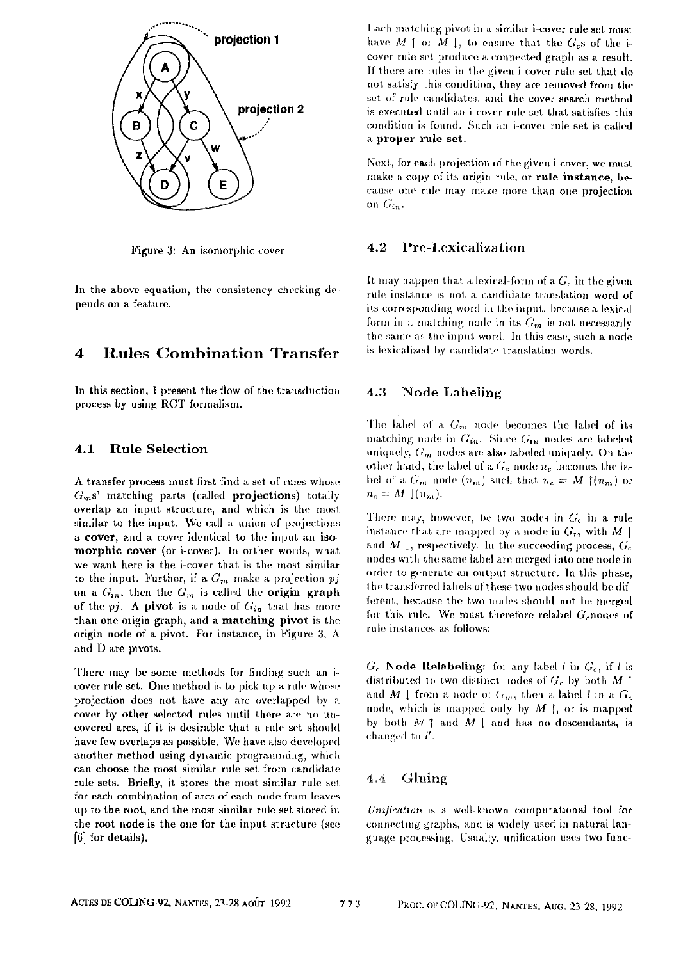

Figure 3: An isomorphic cover

In the above equation, the consistency checking de**pends on a feature.** 

## 4 Rules Combination Transfer

In this section, I present the flow of the transduction process by using RCT formalism.

### **4.1 Rule Selection**

A transfer process rnust first find a set of rules whose  $G_m$ s' matching parts (called projections) totally overlap an input structure, and which is the most similar to the input. We call a union of projections a cover, and a cower identical to the input an isomorphic cover (or i-cover). In orther words, what we want here is the i-cover that is the most similar to the input. Further, if a  $G_m$  make a projection  $pj$ on a  $G_{in}$ , then the  $G_m$  is called the **origin graph** of the  $pj$ . A pivot is a node of  $G_{in}$  that has more than one origin graph, and a **matching pivot** is the origin node of a pivot. For instance, in Figure 3, A and D are pivots.

There may be some methods for finding such an icover rule set. One method is to pick up a rule whose projection does not have any arc overlapped by a cover by other selected rules until there are no uncovered arcs, if it is desirable that a rule set should have few overlaps as possible. We have also developed another method using dynamic programming, which can choose the most similar rule set from candidate rule sets. Briefly, it stores the most similar rule set for each combination of arcs of each node from leaves up to the root, and the most similar rule set stored in the root node is the one for the input structure (see **[6]** for details),

Each matching pivot in a similar i-cover rule set must have  $M \uparrow$  or  $M \downarrow$ , to ensure that the  $G_c$ s of the icover rule set produce a connected graph as a result. If there atre rules in the given i-cover rule set that do not satisfy this condition, they are removed from the set of rule candidates, and the cover search method is executed until an i-cover rule set that satisfies this. condition is found. Such an i-cover rule set is called **a** proper rule set.

Next, for each projection of the given i-cover, we must make a copy of its origin rule, or rule instance, because one rule may make more than one projection on  $G_{in}$ .

#### **4.2 Prc-Lexicalization**

It may happen that a lexical-form of a  $G_c$  in the given rule instance is not a candidate translation word of its corresponding word in the input, because a lexical form in a matching node in its  $G_m$  is not necessarily the same as the input word. In this case, such a node is lexicalized by candidate translation words.

### **4.3 Node Labeling**

The label of a  $G_m$  node becomes the label of its matching node in  $G_{in}$ . Since  $G_{in}$  nodes are labeled uniquely,  $G_m$  nodes are also labeled uniquely. On the other hand, the label of a  $G_c$  node  $n_c$  becomes the label of a  $G_m$  node  $(n_m)$  such that  $n_c = M \uparrow (n_m)$  or  $n_c = M \, | (n_m).$ 

There may, however, be two nodes in  $G_c$  in a rule instance that are mapped by a node in  $G_m$  with M ] and M  $\downarrow$ , respectively. In the succeeding process,  $G_c$ nodes with the same label are merged into one node in order to generate an output structure. In this phase, the transferred labels of these two nodes should be different, because the two nodes should not be merged for this rule. We must therefore relabel  $G$ -nodes of rule instances as follows:

 $G_c$  **Node Relabeling:** for any label l in  $G_c$ , if l is distributed to two distinct nodes of  $G_c$  by both M [ and M  $\downarrow$  from a node of  $G_m$ , then a label l in a  $G_c$ node, which is mapped only by  $M$  ], or is mapped by both  $M \uparrow$  and  $M \downarrow$  and has no descendants, is changed to  $l'$ .

#### 4.4 Gluing

*Unification* is a well-known computational tool for connecting graphs, and is widely used in natural language processing. Usually, unification uses two func-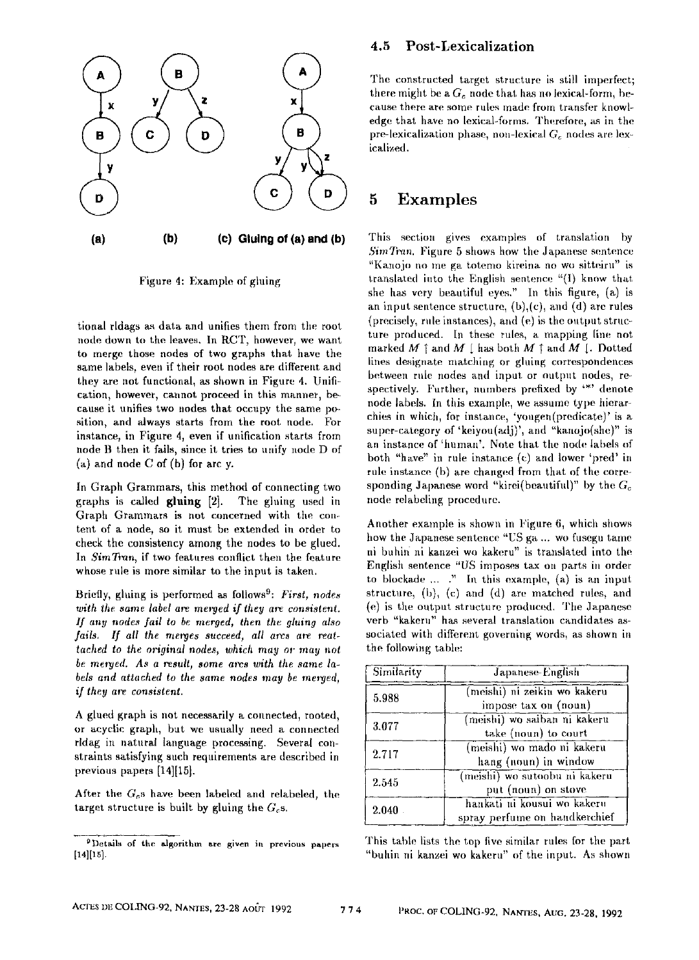

Figure 4: Example of gluing

tional ridags as data and unifies them from the root node down to the leaves. In RCT, however, we want to merge those nodes of two graphs that have the same labels, even if their root nodes are different and they are not functional, as shown in Figure 4. Unification, however, cannot proceed in this manner, because it unifies two nodes that occupy the same position, and always starts from the root node. For instance, in Figure 4, even if unification starts from node B then it fails, since it tries to unify node D of (a) and node C of (b) for arc y.

In Graph Grammars, this method of connecting two graphs is called gluing  $[2]$ . The gluing used in Graph Grammars is not concerned with the content of a node, so it must be extended in order to check the consistency among the nodes to be glued. In *SimTran*, if two features conflict then the feature whose rule is more similar to the input is taken.

Briefly, gluing is performed as follows<sup>9</sup>: *First, nodes* with the same label are merged if they are consistent. *If any nodes fail to be merged, then the gluing also fails.* If all the merges succeed, all arcs are reat*lached to the original nodes, which may or may not*  be meryed. As a result, some arcs with the same la*bels and attached to the same nodes may be merged. if they are consistent.* 

A glued graph is not necessarily a connected, rooted, or acyclic graph, but we usually need a connected rldag in natural language processing. Several constralnts satisfying such requirements are described in previous papers [14][15].

After the  $G<sub>c</sub>$ s have been labeled and relabeled, the target structure is built by gluing the  $G<sub>c</sub>$ s.

#### **4.5 Post-Lexicalization**

The constructed target structure is still imperfect; there might be a  $G_c$  node that has no lexical-form, because there are some rules made from transfer knowledge that have no lexical-forms. Therefore, as in the pre-lexicalization phase, non-lexical G<sub>c</sub> nodes are lexicalized.

## **5 Examples**

This section gives examples of translation by *SimTran.* Figure 5 shows how the Japanese sentence "Kanojo no me ga totemo kireina no wo sitteiru" is translated into the English sentence " $(I)$  know that she has very beautiful eyes." In this figure, (a) is an input sentence structure,  $(b)$ ,  $(c)$ , and  $(d)$  are rules (precisely, rule instances), and (e) is the output structure produced. In these rules, a mapping line not marked  $M \uparrow$  and  $M \downarrow$  has both  $M \uparrow$  and  $M \downarrow$ . Dotted lines designate matching or gluing correspondences between rule nodes and input or output nodes, respectively. Further, numbers prefixed by '\*' denote node labels. In this example, we assume type hierarchies in which, for instance, 'yougen(predicate)' is a super-category of 'keiyou(adj)', and "kanojo(she)" is an instance of 'human'. Note that the node labels of both "have" in rule instance (c) and lower 'pred' in rule instance (b) are changed from that of the corresponding Japanese word "kirei(beautiful)" by the  $G_c$ node relabeling procedure.

Another example is shown in Figure 6, which shows how the Japanese sentence "US ga ... wo fusegu tame ni buhin ni kanzei wo kakeru" is translated into the English sentence "US imposes tax on parts in order to blockade  $\ldots$  " In this example, (a) is an input structure, (b), (c) and (d) are matched rules, and (e) is the output structure produced. *The* Japanese verb "kakeru" has several translation candidates associated with different governing words, as shown in the following table:

| Similarity | Japanese-English                                             |
|------------|--------------------------------------------------------------|
| 5.988      | (meishi) ni zeikin wo kakeru<br>impose tax on (noun)         |
| 3.077      | (meishi) wo saiban ni kakeru<br>take (noun) to court         |
| 2.717      | (meishi) wo mado ni kakeru<br>hang (noun) in window          |
| 2.545      | (meishi) wo sutoobu ni kakeru<br>put (noun) on stove         |
| 2.040      | hankati ni kousui wo kakeru<br>spray perfume on handkerchief |

This table lists the top five similar rules for the part "buhin ni kanzei wo kakeru" of the input. As shown

<sup>&</sup>lt;sup>9</sup> Details of the algorithm are given in previous papers [14][15].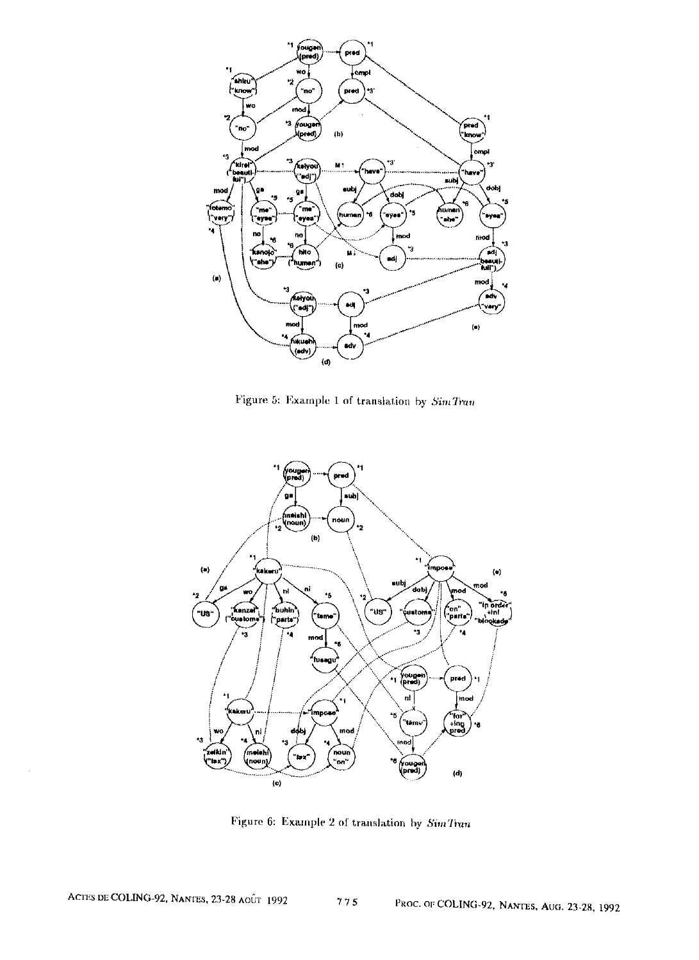

Figure 5: Example 1 of translation by  $SimTran$ 



Figure 6: Example 2 of translation by  $\it{SimTim}$